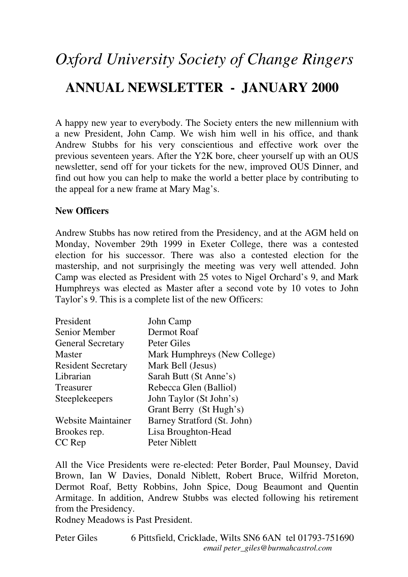# *Oxford University Society of Change Ringers*  **ANNUAL NEWSLETTER - JANUARY 2000**

A happy new year to everybody. The Society enters the new millennium with a new President, John Camp. We wish him well in his office, and thank Andrew Stubbs for his very conscientious and effective work over the previous seventeen years. After the Y2K bore, cheer yourself up with an OUS newsletter, send off for your tickets for the new, improved OUS Dinner, and find out how you can help to make the world a better place by contributing to the appeal for a new frame at Mary Mag's.

#### **New Officers**

Andrew Stubbs has now retired from the Presidency, and at the AGM held on Monday, November 29th 1999 in Exeter College, there was a contested election for his successor. There was also a contested election for the mastership, and not surprisingly the meeting was very well attended. John Camp was elected as President with 25 votes to Nigel Orchard's 9, and Mark Humphreys was elected as Master after a second vote by 10 votes to John Taylor's 9. This is a complete list of the new Officers:

| President                 | John Camp                    |
|---------------------------|------------------------------|
| Senior Member             | Dermot Roaf                  |
| <b>General Secretary</b>  | Peter Giles                  |
| <b>Master</b>             | Mark Humphreys (New College) |
| <b>Resident Secretary</b> | Mark Bell (Jesus)            |
| Librarian                 | Sarah Butt (St Anne's)       |
| Treasurer                 | Rebecca Glen (Balliol)       |
| <b>Steeplekeepers</b>     | John Taylor (St John's)      |
|                           | Grant Berry (St Hugh's)      |
| <b>Website Maintainer</b> | Barney Stratford (St. John)  |
| Brookes rep.              | Lisa Broughton-Head          |
| CC Rep                    | Peter Niblett                |

All the Vice Presidents were re-elected: Peter Border, Paul Mounsey, David Brown, Ian W Davies, Donald Niblett, Robert Bruce, Wilfrid Moreton, Dermot Roaf, Betty Robbins, John Spice, Doug Beaumont and Quentin Armitage. In addition, Andrew Stubbs was elected following his retirement from the Presidency.

Rodney Meadows is Past President.

Peter Giles 6 Pittsfield, Cricklade, Wilts SN6 6AN tel 01793-751690 *email peter\_giles@burmahcastrol.com*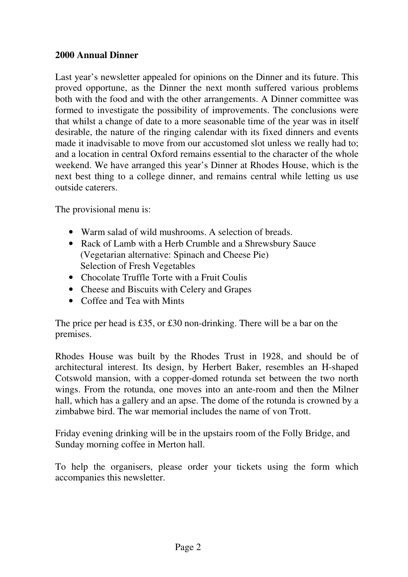# **2000 Annual Dinner**

Last year's newsletter appealed for opinions on the Dinner and its future. This proved opportune, as the Dinner the next month suffered various problems both with the food and with the other arrangements. A Dinner committee was formed to investigate the possibility of improvements. The conclusions were that whilst a change of date to a more seasonable time of the year was in itself desirable, the nature of the ringing calendar with its fixed dinners and events made it inadvisable to move from our accustomed slot unless we really had to; and a location in central Oxford remains essential to the character of the whole weekend. We have arranged this year's Dinner at Rhodes House, which is the next best thing to a college dinner, and remains central while letting us use outside caterers.

The provisional menu is:

- Warm salad of wild mushrooms. A selection of breads.
- Rack of Lamb with a Herb Crumble and a Shrewsbury Sauce (Vegetarian alternative: Spinach and Cheese Pie) Selection of Fresh Vegetables
- Chocolate Truffle Torte with a Fruit Coulis
- Cheese and Biscuits with Celery and Grapes
- Coffee and Tea with Mints

The price per head is £35, or £30 non-drinking. There will be a bar on the premises.

Rhodes House was built by the Rhodes Trust in 1928, and should be of architectural interest. Its design, by Herbert Baker, resembles an H-shaped Cotswold mansion, with a copper-domed rotunda set between the two north wings. From the rotunda, one moves into an ante-room and then the Milner hall, which has a gallery and an apse. The dome of the rotunda is crowned by a zimbabwe bird. The war memorial includes the name of von Trott.

Friday evening drinking will be in the upstairs room of the Folly Bridge, and Sunday morning coffee in Merton hall.

To help the organisers, please order your tickets using the form which accompanies this newsletter.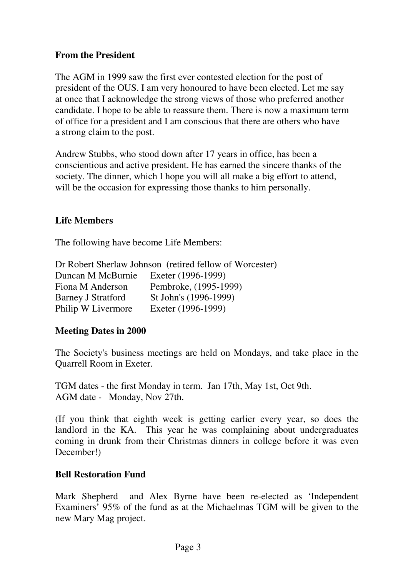# **From the President**

The AGM in 1999 saw the first ever contested election for the post of president of the OUS. I am very honoured to have been elected. Let me say at once that I acknowledge the strong views of those who preferred another candidate. I hope to be able to reassure them. There is now a maximum term of office for a president and I am conscious that there are others who have a strong claim to the post.

Andrew Stubbs, who stood down after 17 years in office, has been a conscientious and active president. He has earned the sincere thanks of the society. The dinner, which I hope you will all make a big effort to attend, will be the occasion for expressing those thanks to him personally.

# **Life Members**

The following have become Life Members:

|                           | Dr Robert Sherlaw Johnson (retired fellow of Worcester) |
|---------------------------|---------------------------------------------------------|
| Duncan M McBurnie         | Exeter (1996-1999)                                      |
| Fiona M Anderson          | Pembroke, (1995-1999)                                   |
| <b>Barney J Stratford</b> | St John's (1996-1999)                                   |
| Philip W Livermore        | Exeter (1996-1999)                                      |

# **Meeting Dates in 2000**

The Society's business meetings are held on Mondays, and take place in the Quarrell Room in Exeter.

TGM dates - the first Monday in term. Jan 17th, May 1st, Oct 9th. AGM date - Monday, Nov 27th.

(If you think that eighth week is getting earlier every year, so does the landlord in the KA. This year he was complaining about undergraduates coming in drunk from their Christmas dinners in college before it was even December!)

# **Bell Restoration Fund**

Mark Shepherd and Alex Byrne have been re-elected as 'Independent Examiners' 95% of the fund as at the Michaelmas TGM will be given to the new Mary Mag project.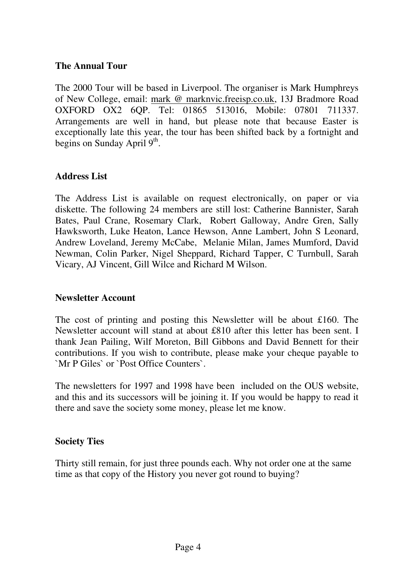### **The Annual Tour**

The 2000 Tour will be based in Liverpool. The organiser is Mark Humphreys of New College, email: mark @ marknvic.freeisp.co.uk, 13J Bradmore Road OXFORD OX2 6QP. Tel: 01865 513016, Mobile: 07801 711337. Arrangements are well in hand, but please note that because Easter is exceptionally late this year, the tour has been shifted back by a fortnight and begins on Sunday April 9<sup>th</sup>.

## **Address List**

The Address List is available on request electronically, on paper or via diskette. The following 24 members are still lost: Catherine Bannister, Sarah Bates, Paul Crane, Rosemary Clark, Robert Galloway, Andre Gren, Sally Hawksworth, Luke Heaton, Lance Hewson, Anne Lambert, John S Leonard, Andrew Loveland, Jeremy McCabe, Melanie Milan, James Mumford, David Newman, Colin Parker, Nigel Sheppard, Richard Tapper, C Turnbull, Sarah Vicary, AJ Vincent, Gill Wilce and Richard M Wilson.

#### **Newsletter Account**

The cost of printing and posting this Newsletter will be about £160. The Newsletter account will stand at about £810 after this letter has been sent. I thank Jean Pailing, Wilf Moreton, Bill Gibbons and David Bennett for their contributions. If you wish to contribute, please make your cheque payable to `Mr P Giles` or `Post Office Counters`.

The newsletters for 1997 and 1998 have been included on the OUS website, and this and its successors will be joining it. If you would be happy to read it there and save the society some money, please let me know.

# **Society Ties**

Thirty still remain, for just three pounds each. Why not order one at the same time as that copy of the History you never got round to buying?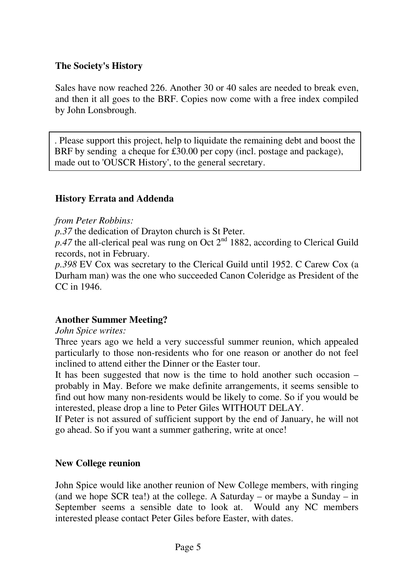# **The Society's History**

Sales have now reached 226. Another 30 or 40 sales are needed to break even, and then it all goes to the BRF. Copies now come with a free index compiled by John Lonsbrough.

. Please support this project, help to liquidate the remaining debt and boost the BRF by sending a cheque for £30.00 per copy (incl. postage and package), made out to 'OUSCR History', to the general secretary.

## **History Errata and Addenda**

#### *from Peter Robbins:*

*p.37* the dedication of Drayton church is St Peter.

 $p.47$  the all-clerical peal was rung on Oct  $2<sup>nd</sup>$  1882, according to Clerical Guild records, not in February.

*p.398* EV Cox was secretary to the Clerical Guild until 1952. C Carew Cox (a Durham man) was the one who succeeded Canon Coleridge as President of the CC in 1946.

#### **Another Summer Meeting?**

*John Spice writes:* 

Three years ago we held a very successful summer reunion, which appealed particularly to those non-residents who for one reason or another do not feel inclined to attend either the Dinner or the Easter tour.

It has been suggested that now is the time to hold another such occasion – probably in May. Before we make definite arrangements, it seems sensible to find out how many non-residents would be likely to come. So if you would be interested, please drop a line to Peter Giles WITHOUT DELAY.

If Peter is not assured of sufficient support by the end of January, he will not go ahead. So if you want a summer gathering, write at once!

#### **New College reunion**

John Spice would like another reunion of New College members, with ringing (and we hope SCR tea!) at the college. A Saturday – or maybe a Sunday – in September seems a sensible date to look at. Would any NC members interested please contact Peter Giles before Easter, with dates.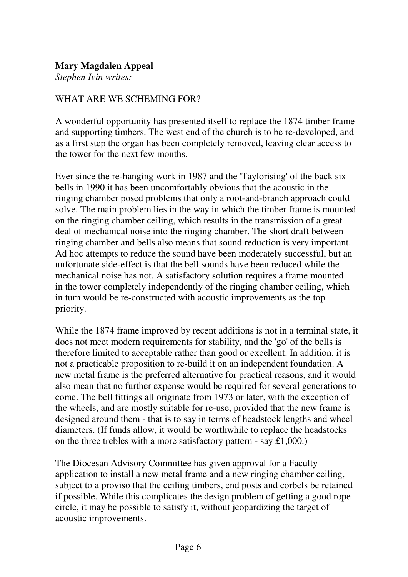# **Mary Magdalen Appeal**

*Stephen Ivin writes:* 

## WHAT ARE WE SCHEMING FOR?

A wonderful opportunity has presented itself to replace the 1874 timber frame and supporting timbers. The west end of the church is to be re-developed, and as a first step the organ has been completely removed, leaving clear access to the tower for the next few months.

Ever since the re-hanging work in 1987 and the 'Taylorising' of the back six bells in 1990 it has been uncomfortably obvious that the acoustic in the ringing chamber posed problems that only a root-and-branch approach could solve. The main problem lies in the way in which the timber frame is mounted on the ringing chamber ceiling, which results in the transmission of a great deal of mechanical noise into the ringing chamber. The short draft between ringing chamber and bells also means that sound reduction is very important. Ad hoc attempts to reduce the sound have been moderately successful, but an unfortunate side-effect is that the bell sounds have been reduced while the mechanical noise has not. A satisfactory solution requires a frame mounted in the tower completely independently of the ringing chamber ceiling, which in turn would be re-constructed with acoustic improvements as the top priority.

While the 1874 frame improved by recent additions is not in a terminal state, it does not meet modern requirements for stability, and the 'go' of the bells is therefore limited to acceptable rather than good or excellent. In addition, it is not a practicable proposition to re-build it on an independent foundation. A new metal frame is the preferred alternative for practical reasons, and it would also mean that no further expense would be required for several generations to come. The bell fittings all originate from 1973 or later, with the exception of the wheels, and are mostly suitable for re-use, provided that the new frame is designed around them - that is to say in terms of headstock lengths and wheel diameters. (If funds allow, it would be worthwhile to replace the headstocks on the three trebles with a more satisfactory pattern - say  $\pounds1,000$ .)

The Diocesan Advisory Committee has given approval for a Faculty application to install a new metal frame and a new ringing chamber ceiling, subject to a proviso that the ceiling timbers, end posts and corbels be retained if possible. While this complicates the design problem of getting a good rope circle, it may be possible to satisfy it, without jeopardizing the target of acoustic improvements.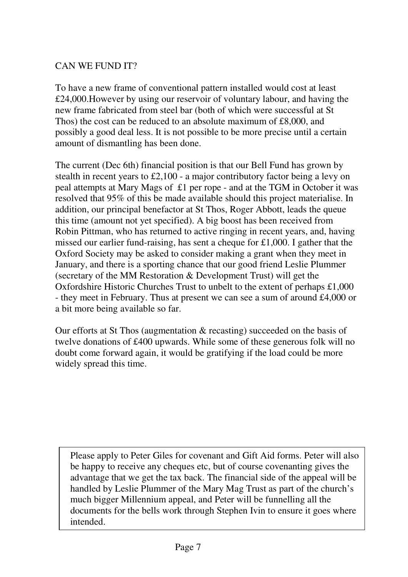# CAN WE FUND IT?

To have a new frame of conventional pattern installed would cost at least £24,000.However by using our reservoir of voluntary labour, and having the new frame fabricated from steel bar (both of which were successful at St Thos) the cost can be reduced to an absolute maximum of £8,000, and possibly a good deal less. It is not possible to be more precise until a certain amount of dismantling has been done.

The current (Dec 6th) financial position is that our Bell Fund has grown by stealth in recent years to £2,100 - a major contributory factor being a levy on peal attempts at Mary Mags of £1 per rope - and at the TGM in October it was resolved that 95% of this be made available should this project materialise. In addition, our principal benefactor at St Thos, Roger Abbott, leads the queue this time (amount not yet specified). A big boost has been received from Robin Pittman, who has returned to active ringing in recent years, and, having missed our earlier fund-raising, has sent a cheque for £1,000. I gather that the Oxford Society may be asked to consider making a grant when they meet in January, and there is a sporting chance that our good friend Leslie Plummer (secretary of the MM Restoration & Development Trust) will get the Oxfordshire Historic Churches Trust to unbelt to the extent of perhaps £1,000 - they meet in February. Thus at present we can see a sum of around £4,000 or a bit more being available so far.

Our efforts at St Thos (augmentation & recasting) succeeded on the basis of twelve donations of £400 upwards. While some of these generous folk will no doubt come forward again, it would be gratifying if the load could be more widely spread this time.

Please apply to Peter Giles for covenant and Gift Aid forms. Peter will also be happy to receive any cheques etc, but of course covenanting gives the advantage that we get the tax back. The financial side of the appeal will be handled by Leslie Plummer of the Mary Mag Trust as part of the church's much bigger Millennium appeal, and Peter will be funnelling all the documents for the bells work through Stephen Ivin to ensure it goes where intended.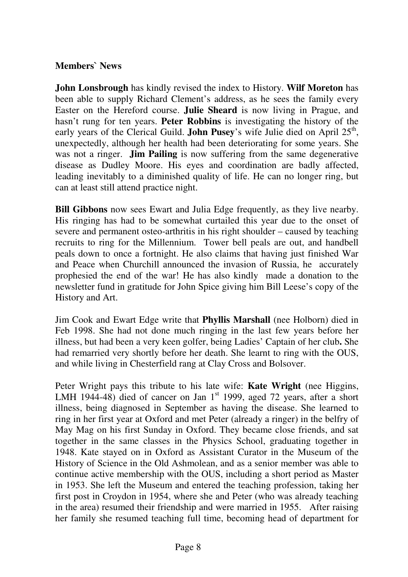# **Members` News**

**John Lonsbrough** has kindly revised the index to History. **Wilf Moreton** has been able to supply Richard Clement's address, as he sees the family every Easter on the Hereford course. **Julie Sheard** is now living in Prague, and hasn't rung for ten years. **Peter Robbins** is investigating the history of the early years of the Clerical Guild. **John Pusey**'s wife Julie died on April 25<sup>th</sup>, unexpectedly, although her health had been deteriorating for some years. She was not a ringer. **Jim Pailing** is now suffering from the same degenerative disease as Dudley Moore. His eyes and coordination are badly affected, leading inevitably to a diminished quality of life. He can no longer ring, but can at least still attend practice night.

**Bill Gibbons** now sees Ewart and Julia Edge frequently, as they live nearby. His ringing has had to be somewhat curtailed this year due to the onset of severe and permanent osteo-arthritis in his right shoulder – caused by teaching recruits to ring for the Millennium. Tower bell peals are out, and handbell peals down to once a fortnight. He also claims that having just finished War and Peace when Churchill announced the invasion of Russia, he accurately prophesied the end of the war! He has also kindly made a donation to the newsletter fund in gratitude for John Spice giving him Bill Leese's copy of the History and Art.

Jim Cook and Ewart Edge write that **Phyllis Marshall** (nee Holborn) died in Feb 1998. She had not done much ringing in the last few years before her illness, but had been a very keen golfer, being Ladies' Captain of her club**.** She had remarried very shortly before her death. She learnt to ring with the OUS, and while living in Chesterfield rang at Clay Cross and Bolsover.

Peter Wright pays this tribute to his late wife: **Kate Wright** (nee Higgins, LMH 1944-48) died of cancer on Jan  $1<sup>st</sup>$  1999, aged 72 years, after a short illness, being diagnosed in September as having the disease. She learned to ring in her first year at Oxford and met Peter (already a ringer) in the belfry of May Mag on his first Sunday in Oxford. They became close friends, and sat together in the same classes in the Physics School, graduating together in 1948. Kate stayed on in Oxford as Assistant Curator in the Museum of the History of Science in the Old Ashmolean, and as a senior member was able to continue active membership with the OUS, including a short period as Master in 1953. She left the Museum and entered the teaching profession, taking her first post in Croydon in 1954, where she and Peter (who was already teaching in the area) resumed their friendship and were married in 1955. After raising her family she resumed teaching full time, becoming head of department for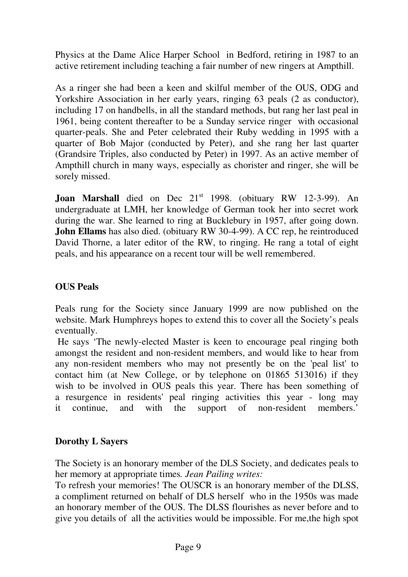Physics at the Dame Alice Harper School in Bedford, retiring in 1987 to an active retirement including teaching a fair number of new ringers at Ampthill.

As a ringer she had been a keen and skilful member of the OUS, ODG and Yorkshire Association in her early years, ringing 63 peals (2 as conductor), including 17 on handbells, in all the standard methods, but rang her last peal in 1961, being content thereafter to be a Sunday service ringer with occasional quarter-peals. She and Peter celebrated their Ruby wedding in 1995 with a quarter of Bob Major (conducted by Peter), and she rang her last quarter (Grandsire Triples, also conducted by Peter) in 1997. As an active member of Ampthill church in many ways, especially as chorister and ringer, she will be sorely missed.

**Joan Marshall** died on Dec 21<sup>st</sup> 1998. (obituary RW 12-3-99). An undergraduate at LMH, her knowledge of German took her into secret work during the war. She learned to ring at Bucklebury in 1957, after going down. **John Ellams** has also died. (obituary RW 30-4-99). A CC rep, he reintroduced David Thorne, a later editor of the RW, to ringing. He rang a total of eight peals, and his appearance on a recent tour will be well remembered.

# **OUS Peals**

Peals rung for the Society since January 1999 are now published on the website. Mark Humphreys hopes to extend this to cover all the Society's peals eventually.

 He says 'The newly-elected Master is keen to encourage peal ringing both amongst the resident and non-resident members, and would like to hear from any non-resident members who may not presently be on the 'peal list' to contact him (at New College, or by telephone on 01865 513016) if they wish to be involved in OUS peals this year. There has been something of a resurgence in residents' peal ringing activities this year - long may it continue, and with the support of non-resident members.'

# **Dorothy L Sayers**

The Society is an honorary member of the DLS Society, and dedicates peals to her memory at appropriate times*. Jean Pailing writes:* 

To refresh your memories! The OUSCR is an honorary member of the DLSS, a compliment returned on behalf of DLS herself who in the 1950s was made an honorary member of the OUS. The DLSS flourishes as never before and to give you details of all the activities would be impossible. For me,the high spot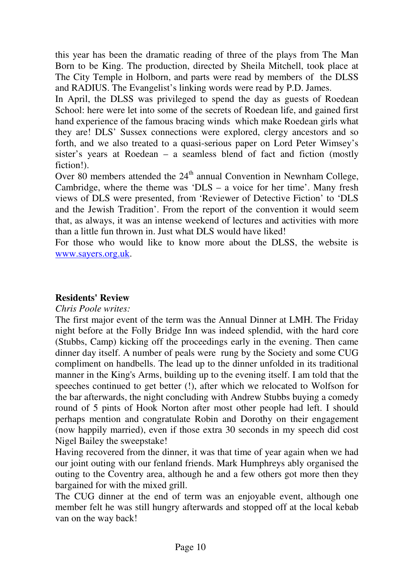this year has been the dramatic reading of three of the plays from The Man Born to be King. The production, directed by Sheila Mitchell, took place at The City Temple in Holborn, and parts were read by members of the DLSS and RADIUS. The Evangelist's linking words were read by P.D. James.

In April, the DLSS was privileged to spend the day as guests of Roedean School: here were let into some of the secrets of Roedean life, and gained first hand experience of the famous bracing winds which make Roedean girls what they are! DLS' Sussex connections were explored, clergy ancestors and so forth, and we also treated to a quasi-serious paper on Lord Peter Wimsey's sister's years at Roedean – a seamless blend of fact and fiction (mostly fiction!).

Over 80 members attended the  $24<sup>th</sup>$  annual Convention in Newnham College, Cambridge, where the theme was 'DLS – a voice for her time'. Many fresh views of DLS were presented, from 'Reviewer of Detective Fiction' to 'DLS and the Jewish Tradition'. From the report of the convention it would seem that, as always, it was an intense weekend of lectures and activities with more than a little fun thrown in. Just what DLS would have liked!

For those who would like to know more about the DLSS, the website is www.sayers.org.uk.

# **Residents' Review**

#### *Chris Poole writes:*

The first major event of the term was the Annual Dinner at LMH. The Friday night before at the Folly Bridge Inn was indeed splendid, with the hard core (Stubbs, Camp) kicking off the proceedings early in the evening. Then came dinner day itself. A number of peals were rung by the Society and some CUG compliment on handbells. The lead up to the dinner unfolded in its traditional manner in the King's Arms, building up to the evening itself. I am told that the speeches continued to get better (!), after which we relocated to Wolfson for the bar afterwards, the night concluding with Andrew Stubbs buying a comedy round of 5 pints of Hook Norton after most other people had left. I should perhaps mention and congratulate Robin and Dorothy on their engagement (now happily married), even if those extra 30 seconds in my speech did cost Nigel Bailey the sweepstake!

Having recovered from the dinner, it was that time of year again when we had our joint outing with our fenland friends. Mark Humphreys ably organised the outing to the Coventry area, although he and a few others got more then they bargained for with the mixed grill.

The CUG dinner at the end of term was an enjoyable event, although one member felt he was still hungry afterwards and stopped off at the local kebab van on the way back!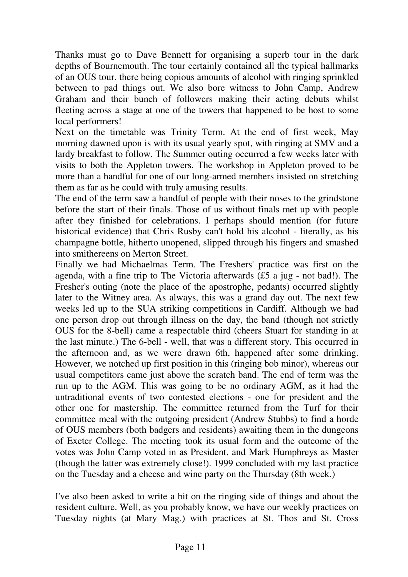Thanks must go to Dave Bennett for organising a superb tour in the dark depths of Bournemouth. The tour certainly contained all the typical hallmarks of an OUS tour, there being copious amounts of alcohol with ringing sprinkled between to pad things out. We also bore witness to John Camp, Andrew Graham and their bunch of followers making their acting debuts whilst fleeting across a stage at one of the towers that happened to be host to some local performers!

Next on the timetable was Trinity Term. At the end of first week, May morning dawned upon is with its usual yearly spot, with ringing at SMV and a lardy breakfast to follow. The Summer outing occurred a few weeks later with visits to both the Appleton towers. The workshop in Appleton proved to be more than a handful for one of our long-armed members insisted on stretching them as far as he could with truly amusing results.

The end of the term saw a handful of people with their noses to the grindstone before the start of their finals. Those of us without finals met up with people after they finished for celebrations. I perhaps should mention (for future historical evidence) that Chris Rusby can't hold his alcohol - literally, as his champagne bottle, hitherto unopened, slipped through his fingers and smashed into smithereens on Merton Street.

Finally we had Michaelmas Term. The Freshers' practice was first on the agenda, with a fine trip to The Victoria afterwards (£5 a jug - not bad!). The Fresher's outing (note the place of the apostrophe, pedants) occurred slightly later to the Witney area. As always, this was a grand day out. The next few weeks led up to the SUA striking competitions in Cardiff. Although we had one person drop out through illness on the day, the band (though not strictly OUS for the 8-bell) came a respectable third (cheers Stuart for standing in at the last minute.) The 6-bell - well, that was a different story. This occurred in the afternoon and, as we were drawn 6th, happened after some drinking. However, we notched up first position in this (ringing bob minor), whereas our usual competitors came just above the scratch band. The end of term was the run up to the AGM. This was going to be no ordinary AGM, as it had the untraditional events of two contested elections - one for president and the other one for mastership. The committee returned from the Turf for their committee meal with the outgoing president (Andrew Stubbs) to find a horde of OUS members (both badgers and residents) awaiting them in the dungeons of Exeter College. The meeting took its usual form and the outcome of the votes was John Camp voted in as President, and Mark Humphreys as Master (though the latter was extremely close!). 1999 concluded with my last practice on the Tuesday and a cheese and wine party on the Thursday (8th week.)

I've also been asked to write a bit on the ringing side of things and about the resident culture. Well, as you probably know, we have our weekly practices on Tuesday nights (at Mary Mag.) with practices at St. Thos and St. Cross